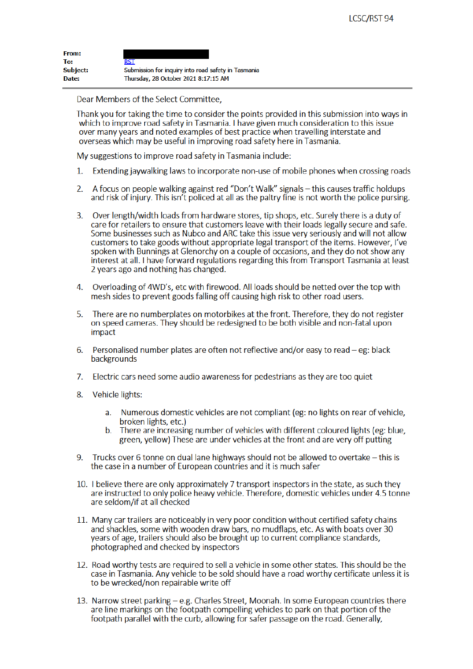| <b>From:</b>    |                                                     |
|-----------------|-----------------------------------------------------|
| To:             | RST                                                 |
| <b>Subject:</b> | Submission for inquiry into road safety in Tasmania |
| Date:           | Thursday, 28 October 2021 8:17:15 AM                |

Dear Members of the Select Committee,

Thank you for taking the time to consider the points provided in this submission into ways in which to improve road safety in Tasmania. I have given much consideration to this issue over many years and noted examples of best practice when travelling interstate and overseas which may be useful in improving road safety here in Tasmania.

My suggestions to improve road safety in Tasmania include:

- Extending jaywalking laws to incorporate non-use of mobile phones when crossing roads  $1<sup>1</sup>$
- A focus on people walking against red "Don't Walk" signals this causes traffic holdups  $\mathcal{L}$ and risk of injury. This isn't policed at all as the paltry fine is not worth the police pursing.
- Over length/width loads from hardware stores, tip shops, etc. Surely there is a duty of  $3<sub>1</sub>$ care for retailers to ensure that customers leave with their loads legally secure and safe. Some businesses such as Nubco and ARC take this issue very seriously and will not allow customers to take goods without appropriate legal transport of the items. However, I've spoken with Bunnings at Glenorchy on a couple of occasions, and they do not show any interest at all. I have forward regulations regarding this from Transport Tasmania at least 2 years ago and nothing has changed.
- 4. Overloading of 4WD's, etc with firewood. All loads should be netted over the top with mesh sides to prevent goods falling off causing high risk to other road users.
- There are no numberplates on motorbikes at the front. Therefore, they do not register 5. on speed cameras. They should be redesigned to be both visible and non-fatal upon impact
- Personalised number plates are often not reflective and/or easy to read eg: black 6. backgrounds
- $7<sup>1</sup>$ Electric cars need some audio awareness for pedestrians as they are too quiet
- 8. Vehicle lights:
	- a. Numerous domestic vehicles are not compliant (eg: no lights on rear of vehicle, broken lights, etc.)
	- b. There are increasing number of vehicles with different coloured lights (eg: blue, green, yellow) These are under vehicles at the front and are very off putting
- Trucks over 6 tonne on dual lane highways should not be allowed to overtake this is 9. the case in a number of European countries and it is much safer
- 10. I believe there are only approximately 7 transport inspectors in the state, as such they are instructed to only police heavy vehicle. Therefore, domestic vehicles under 4.5 tonne are seldom/if at all checked
- 11. Many car trailers are noticeably in very poor condition without certified safety chains and shackles, some with wooden draw bars, no mudflaps, etc. As with boats over 30 years of age, trailers should also be brought up to current compliance standards, photographed and checked by inspectors
- 12. Road worthy tests are required to sell a vehicle in some other states. This should be the case in Tasmania. Any vehicle to be sold should have a road worthy certificate unless it is to be wrecked/non repairable write off
- 13. Narrow street parking e.g. Charles Street, Moonah. In some European countries there are line markings on the footpath compelling vehicles to park on that portion of the footpath parallel with the curb, allowing for safer passage on the road. Generally,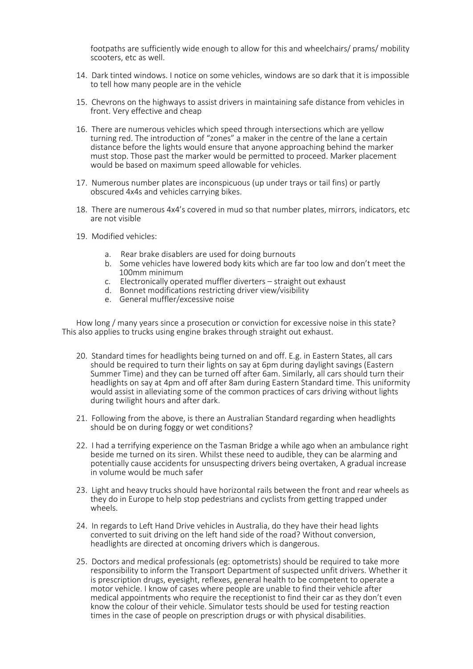footpaths are sufficiently wide enough to allow for this and wheelchairs/ prams/ mobility scooters, etc as well.

- 14. Dark tinted windows. I notice on some vehicles, windows are so dark that it is impossible to tell how many people are in the vehicle
- 15. Chevrons on the highways to assist drivers in maintaining safe distance from vehicles in front. Very effective and cheap
- 16. There are numerous vehicles which speed through intersections which are yellow turning red. The introduction of "zones" a maker in the centre of the lane a certain distance before the lights would ensure that anyone approaching behind the marker must stop. Those past the marker would be permitted to proceed. Marker placement would be based on maximum speed allowable for vehicles.
- 17. Numerous number plates are inconspicuous (up under trays or tail fins) or partly obscured 4x4s and vehicles carrying bikes.
- 18. There are numerous 4x4's covered in mud so that number plates, mirrors, indicators, etc are not visible
- 19. Modified vehicles:
	- a. Rear brake disablers are used for doing burnouts
	- b. Some vehicles have lowered body kits which are far too low and don't meet the 100mm minimum
	- c. Electronically operated muffler diverters straight out exhaust
	- d. Bonnet modifications restricting driver view/visibility
	- e. General muffler/excessive noise

How long / many years since a prosecution or conviction for excessive noise in this state? This also applies to trucks using engine brakes through straight out exhaust.

- 20. Standard times for headlights being turned on and off. E.g. in Eastern States, all cars should be required to turn their lights on say at 6pm during daylight savings (Eastern Summer Time) and they can be turned off after 6am. Similarly, all cars should turn their headlights on say at 4pm and off after 8am during Eastern Standard time. This uniformity would assist in alleviating some of the common practices of cars driving without lights during twilight hours and after dark.
- 21. Following from the above, is there an Australian Standard regarding when headlights should be on during foggy or wet conditions?
- 22. I had a terrifying experience on the Tasman Bridge a while ago when an ambulance right beside me turned on its siren. Whilst these need to audible, they can be alarming and potentially cause accidents for unsuspecting drivers being overtaken, A gradual increase in volume would be much safer
- 23. Light and heavy trucks should have horizontal rails between the front and rear wheels as they do in Europe to help stop pedestrians and cyclists from getting trapped under wheels.
- 24. In regards to Left Hand Drive vehicles in Australia, do they have their head lights converted to suit driving on the left hand side of the road? Without conversion, headlights are directed at oncoming drivers which is dangerous.
- 25. Doctors and medical professionals (eg: optometrists) should be required to take more responsibility to inform the Transport Department of suspected unfit drivers. Whether it is prescription drugs, eyesight, reflexes, general health to be competent to operate a motor vehicle. I know of cases where people are unable to find their vehicle after medical appointments who require the receptionist to find their car as they don't even know the colour of their vehicle. Simulator tests should be used for testing reaction times in the case of people on prescription drugs or with physical disabilities.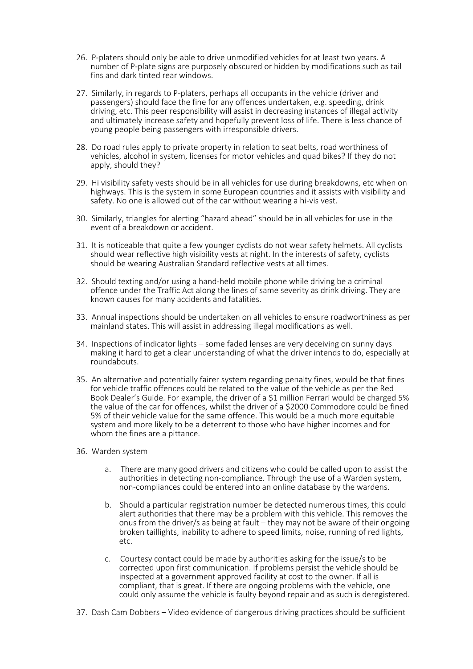- 26. P-platers should only be able to drive unmodified vehicles for at least two years. A number of P-plate signs are purposely obscured or hidden by modifications such as tail fins and dark tinted rear windows.
- 27. Similarly, in regards to P-platers, perhaps all occupants in the vehicle (driver and passengers) should face the fine for any offences undertaken, e.g. speeding, drink driving, etc. This peer responsibility will assist in decreasing instances of illegal activity and ultimately increase safety and hopefully prevent loss of life. There is less chance of young people being passengers with irresponsible drivers.
- 28. Do road rules apply to private property in relation to seat belts, road worthiness of vehicles, alcohol in system, licenses for motor vehicles and quad bikes? If they do not apply, should they?
- 29. Hi visibility safety vests should be in all vehicles for use during breakdowns, etc when on highways. This is the system in some European countries and it assists with visibility and safety. No one is allowed out of the car without wearing a hi-vis vest.
- 30. Similarly, triangles for alerting "hazard ahead" should be in all vehicles for use in the event of a breakdown or accident.
- 31. It is noticeable that quite a few younger cyclists do not wear safety helmets. All cyclists should wear reflective high visibility vests at night. In the interests of safety, cyclists should be wearing Australian Standard reflective vests at all times.
- 32. Should texting and/or using a hand-held mobile phone while driving be a criminal offence under the Traffic Act along the lines of same severity as drink driving. They are known causes for many accidents and fatalities.
- 33. Annual inspections should be undertaken on all vehicles to ensure roadworthiness as per mainland states. This will assist in addressing illegal modifications as well.
- 34. Inspections of indicator lights some faded lenses are very deceiving on sunny days making it hard to get a clear understanding of what the driver intends to do, especially at roundabouts.
- 35. An alternative and potentially fairer system regarding penalty fines, would be that fines for vehicle traffic offences could be related to the value of the vehicle as per the Red Book Dealer's Guide. For example, the driver of a \$1 million Ferrari would be charged 5% the value of the car for offences, whilst the driver of a \$2000 Commodore could be fined 5% of their vehicle value for the same offence. This would be a much more equitable system and more likely to be a deterrent to those who have higher incomes and for whom the fines are a pittance.
- 36. Warden system
	- a. There are many good drivers and citizens who could be called upon to assist the authorities in detecting non-compliance. Through the use of a Warden system, non-compliances could be entered into an online database by the wardens.
	- b. Should a particular registration number be detected numerous times, this could alert authorities that there may be a problem with this vehicle. This removes the onus from the driver/s as being at fault – they may not be aware of their ongoing broken taillights, inability to adhere to speed limits, noise, running of red lights, etc.
	- c. Courtesy contact could be made by authorities asking for the issue/s to be corrected upon first communication. If problems persist the vehicle should be inspected at a government approved facility at cost to the owner. If all is compliant, that is great. If there are ongoing problems with the vehicle, one could only assume the vehicle is faulty beyond repair and as such is deregistered.
- 37. Dash Cam Dobbers Video evidence of dangerous driving practices should be sufficient